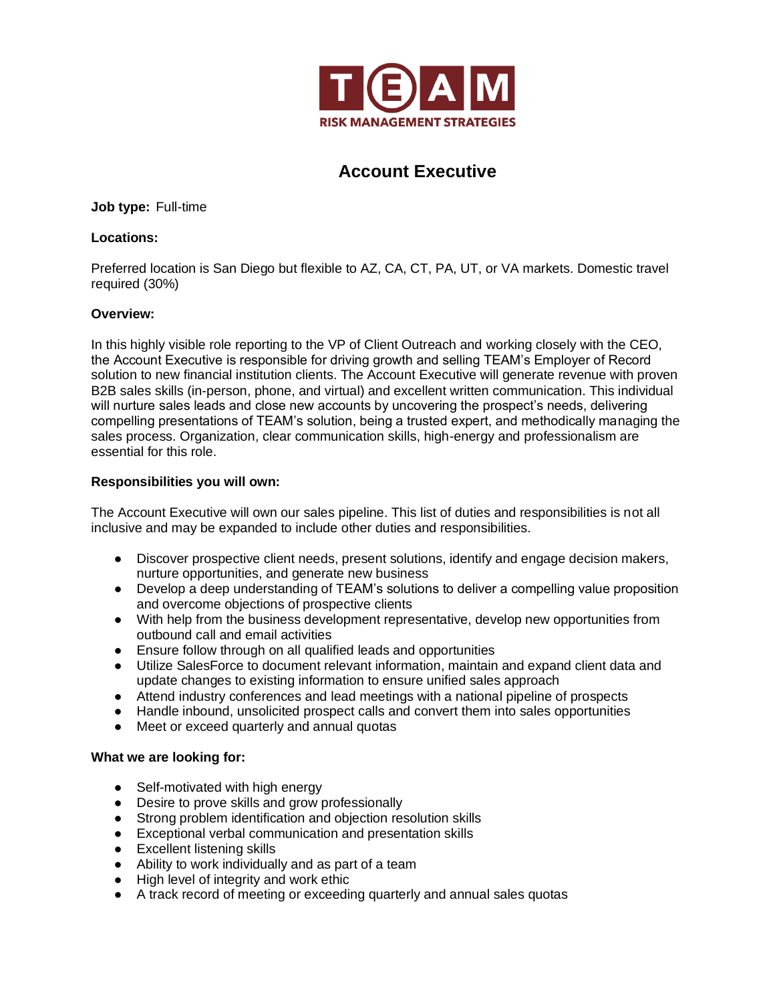

# **Account Executive**

**Job type:** Full-time

## **Locations:**

Preferred location is San Diego but flexible to AZ, CA, CT, PA, UT, or VA markets. Domestic travel required (30%)

## **Overview:**

In this highly visible role reporting to the VP of Client Outreach and working closely with the CEO, the Account Executive is responsible for driving growth and selling TEAM's Employer of Record solution to new financial institution clients. The Account Executive will generate revenue with proven B2B sales skills (in-person, phone, and virtual) and excellent written communication. This individual will nurture sales leads and close new accounts by uncovering the prospect's needs, delivering compelling presentations of TEAM's solution, being a trusted expert, and methodically managing the sales process. Organization, clear communication skills, high-energy and professionalism are essential for this role.

## **Responsibilities you will own:**

The Account Executive will own our sales pipeline. This list of duties and responsibilities is not all inclusive and may be expanded to include other duties and responsibilities.

- Discover prospective client needs, present solutions, identify and engage decision makers, nurture opportunities, and generate new business
- Develop a deep understanding of TEAM's solutions to deliver a compelling value proposition and overcome objections of prospective clients
- With help from the business development representative, develop new opportunities from outbound call and email activities
- Ensure follow through on all qualified leads and opportunities
- Utilize SalesForce to document relevant information, maintain and expand client data and update changes to existing information to ensure unified sales approach
- Attend industry conferences and lead meetings with a national pipeline of prospects
- Handle inbound, unsolicited prospect calls and convert them into sales opportunities
- Meet or exceed quarterly and annual quotas

### **What we are looking for:**

- Self-motivated with high energy
- Desire to prove skills and grow professionally
- Strong problem identification and objection resolution skills
- Exceptional verbal communication and presentation skills
- Excellent listening skills
- Ability to work individually and as part of a team
- High level of integrity and work ethic
- A track record of meeting or exceeding quarterly and annual sales quotas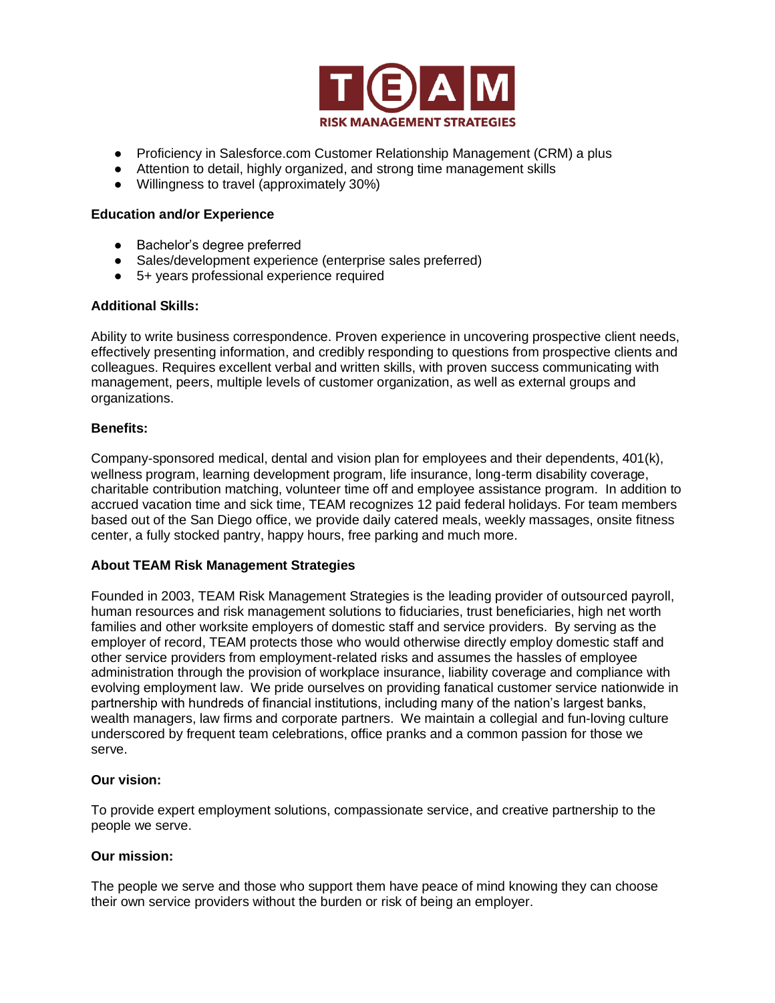

- Proficiency in Salesforce.com Customer Relationship Management (CRM) a plus
- Attention to detail, highly organized, and strong time management skills
- Willingness to travel (approximately 30%)

#### **Education and/or Experience**

- Bachelor's degree preferred
- Sales/development experience (enterprise sales preferred)
- 5+ years professional experience required

### **Additional Skills:**

Ability to write business correspondence. Proven experience in uncovering prospective client needs, effectively presenting information, and credibly responding to questions from prospective clients and colleagues. Requires excellent verbal and written skills, with proven success communicating with management, peers, multiple levels of customer organization, as well as external groups and organizations.

### **Benefits:**

Company-sponsored medical, dental and vision plan for employees and their dependents, 401(k), wellness program, learning development program, life insurance, long-term disability coverage, charitable contribution matching, volunteer time off and employee assistance program. In addition to accrued vacation time and sick time, TEAM recognizes 12 paid federal holidays. For team members based out of the San Diego office, we provide daily catered meals, weekly massages, onsite fitness center, a fully stocked pantry, happy hours, free parking and much more.

### **About TEAM Risk Management Strategies**

Founded in 2003, TEAM Risk Management Strategies is the leading provider of outsourced payroll, human resources and risk management solutions to fiduciaries, trust beneficiaries, high net worth families and other worksite employers of domestic staff and service providers. By serving as the employer of record, TEAM protects those who would otherwise directly employ domestic staff and other service providers from employment-related risks and assumes the hassles of employee administration through the provision of workplace insurance, liability coverage and compliance with evolving employment law. We pride ourselves on providing fanatical customer service nationwide in partnership with hundreds of financial institutions, including many of the nation's largest banks, wealth managers, law firms and corporate partners. We maintain a collegial and fun-loving culture underscored by frequent team celebrations, office pranks and a common passion for those we serve.

### **Our vision:**

To provide expert employment solutions, compassionate service, and creative partnership to the people we serve.

### **Our mission:**

The people we serve and those who support them have peace of mind knowing they can choose their own service providers without the burden or risk of being an employer.